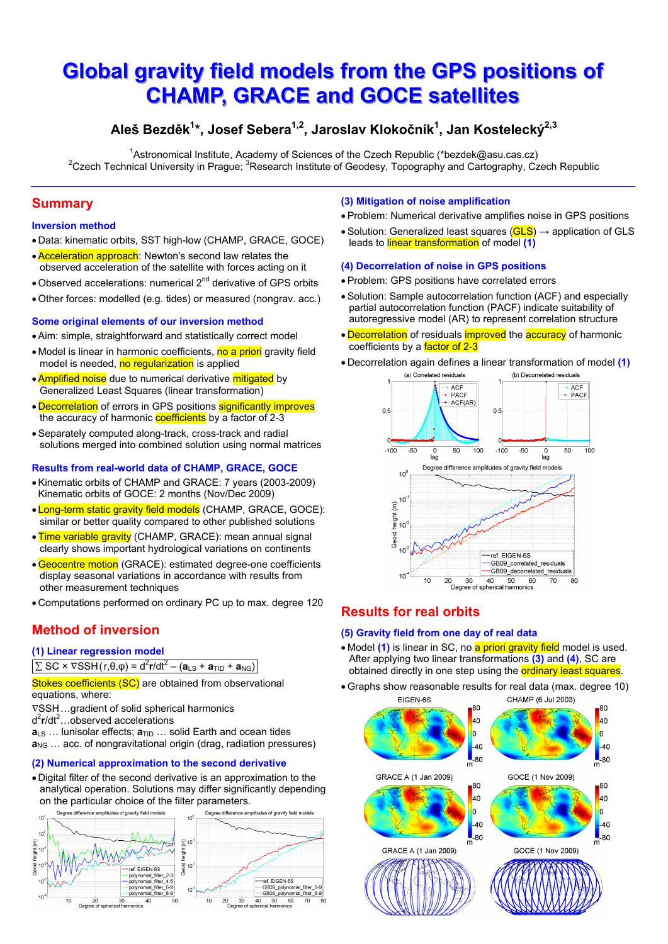# **Global gravity field models from the GPS positions of CHAMP, GRACE and GOCE satellites**

# Aleš Bezděk<sup>1\*</sup>, Josef Sebera<sup>1,2</sup>, Jaroslav Klokočník<sup>1</sup>, Jan Kostelecký<sup>2,3</sup>

<sup>1</sup>Astronomical Institute, Academy of Sciences of the Czech Republic (\*bezdek@asu.cas.cz) <sup>2</sup>Czech Technical University in Prague; <sup>3</sup>Research Institute of Geodesy, Topography and Cartography, Czech Republic

# **Summary**

## **Inversion method**

- . Data: kinematic orbits, SST high-low (CHAMP, GRACE, GOCE)
- Acceleration approach: Newton's second law relates the observed acceleration of the satellite with forces acting on it
- Observed accelerations: numerical 2<sup>nd</sup> derivative of GPS orbits
- · Other forces: modelled (e.g. tides) or measured (nongrav. acc.)

# Some original elements of our inversion method

- Aim: simple, straightforward and statistically correct model
- Model is linear in harmonic coefficients, no a priori gravity field model is needed, no regularization is applied
- Amplified noise due to numerical derivative mitigated by Generalized Least Squares (linear transformation)
- Decorrelation of errors in GPS positions significantly improves the accuracy of harmonic coefficients by a factor of 2-3
- Separately computed along-track, cross-track and radial solutions merged into combined solution using normal matrices

# **Results from real-world data of CHAMP, GRACE, GOCE**

- Kinematic orbits of CHAMP and GRACE: 7 years (2003-2009) Kinematic orbits of GOCE: 2 months (Nov/Dec 2009)
- . Long-term static gravity field models (CHAMP, GRACE, GOCE): similar or better quality compared to other published solutions
- . Time variable gravity (CHAMP, GRACE): mean annual signal clearly shows important hydrological variations on continents
- Geocentre motion (GRACE): estimated degree-one coefficients display seasonal variations in accordance with results from other measurement techniques
- Computations performed on ordinary PC up to max. degree 120

# **Method of inversion**

### (1) Linear regression model

 $\sum$  SC ×  $\nabla$ SSH(r, $\theta$ , $\varphi$ ) = d<sup>2</sup>r/dt<sup>2</sup> – (a<sub>LS</sub> + a<sub>TID</sub> + a<sub>NG</sub>)

Stokes coefficients (SC) are obtained from observational equations, where:

- ∇SSH...gradient of solid spherical harmonics
- $d^2r/dt^2$ ...observed accelerations

 $a_{LS}$  ... lunisolar effects;  $a_{TID}$  ... solid Earth and ocean tides  $a_{\text{NG}}$  ... acc. of nongravitational origin (drag, radiation pressures)

# (2) Numerical approximation to the second derivative

. Digital filter of the second derivative is an approximation to the analytical operation. Solutions may differ significantly depending on the particular choice of the filter parameters.



### (3) Mitigation of noise amplification

- Problem: Numerical derivative amplifies noise in GPS positions
- Solution: Generalized least squares  $(GLS) \rightarrow$  application of GLS leads to linear transformation of model (1)

### (4) Decorrelation of noise in GPS positions

- · Problem: GPS positions have correlated errors
- Solution: Sample autocorrelation function (ACF) and especially partial autocorrelation function (PACF) indicate suitability of autoregressive model (AR) to represent correlation structure
- Decorrelation of residuals improved the accuracy of harmonic coefficients by a factor of 2-3
- Decorrelation again defines a linear transformation of model (1)



# **Results for real orbits**

### (5) Gravity field from one day of real data

- Model (1) is linear in SC, no a priori gravity field model is used. After applying two linear transformations (3) and (4), SC are obtained directly in one step using the **ordinary least squares**.
- Graphs show reasonable results for real data (max. degree 10)